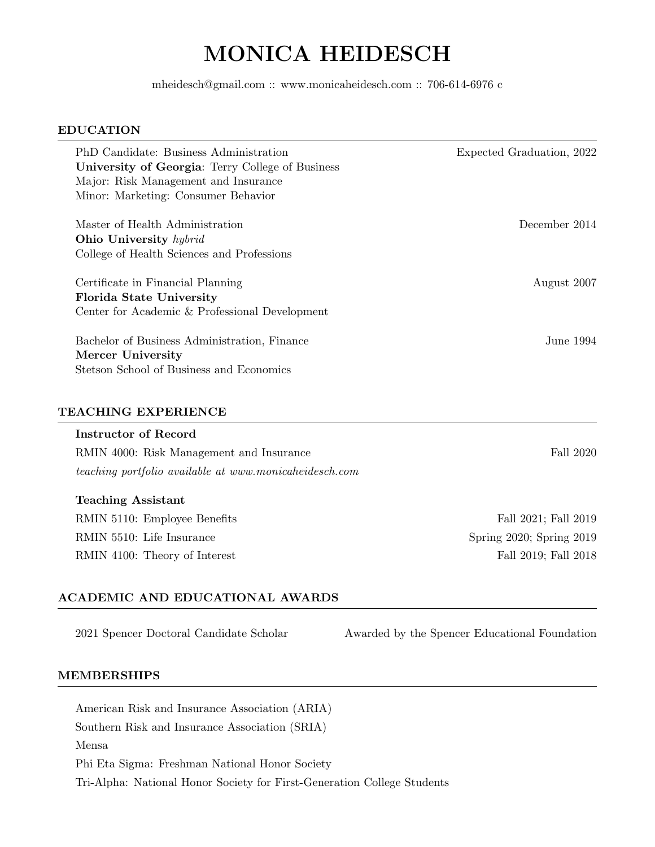# MONICA HEIDESCH

mheidesch@gmail.com :: www.monicaheidesch.com :: 706-614-6976 c

#### EDUCATION

| PhD Candidate: Business Administration                                                                        | Expected Graduation, 2022 |
|---------------------------------------------------------------------------------------------------------------|---------------------------|
| University of Georgia: Terry College of Business                                                              |                           |
| Major: Risk Management and Insurance                                                                          |                           |
| Minor: Marketing: Consumer Behavior                                                                           |                           |
| Master of Health Administration                                                                               | December 2014             |
| Ohio University hybrid                                                                                        |                           |
| College of Health Sciences and Professions                                                                    |                           |
| Certificate in Financial Planning                                                                             | August 2007               |
| <b>Florida State University</b>                                                                               |                           |
| Center for Academic & Professional Development                                                                |                           |
| Bachelor of Business Administration, Finance<br>Mercer University<br>Stetson School of Business and Economics | June 1994.                |
|                                                                                                               |                           |

#### TEACHING EXPERIENCE

#### Instructor of Record

RMIN 4000: Risk Management and Insurance Fall 2020 teaching portfolio available at www.monicaheidesch.com

#### Teaching Assistant

RMIN 5110: Employee Benefits Fall 2021; Fall 2021; Fall 2019 RMIN 5510: Life Insurance Spring 2020; Spring 2019 RMIN 4100: Theory of Interest Fall 2019; Fall 2018

#### ACADEMIC AND EDUCATIONAL AWARDS

2021 Spencer Doctoral Candidate Scholar Awarded by the Spencer Educational Foundation

#### MEMBERSHIPS

American Risk and Insurance Association (ARIA) Southern Risk and Insurance Association (SRIA) Mensa Phi Eta Sigma: Freshman National Honor Society Tri-Alpha: National Honor Society for First-Generation College Students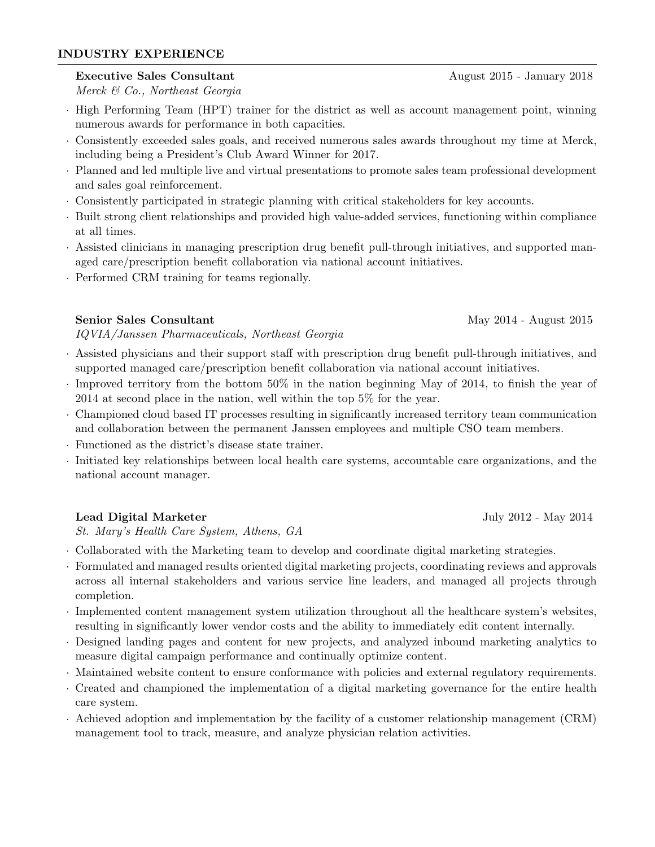# INDUSTRY EXPERIENCE

# Executive Sales Consultant August 2015 - January 2018

Merck & Co., Northeast Georgia

- · High Performing Team (HPT) trainer for the district as well as account management point, winning numerous awards for performance in both capacities.
- · Consistently exceeded sales goals, and received numerous sales awards throughout my time at Merck, including being a President's Club Award Winner for 2017.
- · Planned and led multiple live and virtual presentations to promote sales team professional development and sales goal reinforcement.
- · Consistently participated in strategic planning with critical stakeholders for key accounts.
- · Built strong client relationships and provided high value-added services, functioning within compliance at all times.
- · Assisted clinicians in managing prescription drug benefit pull-through initiatives, and supported managed care/prescription benefit collaboration via national account initiatives.
- · Performed CRM training for teams regionally.

# Senior Sales Consultant May 2014 - August 2015

IQVIA/Janssen Pharmaceuticals, Northeast Georgia

- · Assisted physicians and their support staff with prescription drug benefit pull-through initiatives, and supported managed care/prescription benefit collaboration via national account initiatives.
- · Improved territory from the bottom 50% in the nation beginning May of 2014, to finish the year of 2014 at second place in the nation, well within the top 5% for the year.
- · Championed cloud based IT processes resulting in significantly increased territory team communication and collaboration between the permanent Janssen employees and multiple CSO team members.
- · Functioned as the district's disease state trainer.
- · Initiated key relationships between local health care systems, accountable care organizations, and the national account manager.

# Lead Digital Marketer July 2012 - May 2014

St. Mary's Health Care System, Athens, GA

- · Collaborated with the Marketing team to develop and coordinate digital marketing strategies.
- · Formulated and managed results oriented digital marketing projects, coordinating reviews and approvals across all internal stakeholders and various service line leaders, and managed all projects through completion.
- · Implemented content management system utilization throughout all the healthcare system's websites, resulting in significantly lower vendor costs and the ability to immediately edit content internally.
- · Designed landing pages and content for new projects, and analyzed inbound marketing analytics to measure digital campaign performance and continually optimize content.
- · Maintained website content to ensure conformance with policies and external regulatory requirements.
- · Created and championed the implementation of a digital marketing governance for the entire health care system.
- · Achieved adoption and implementation by the facility of a customer relationship management (CRM) management tool to track, measure, and analyze physician relation activities.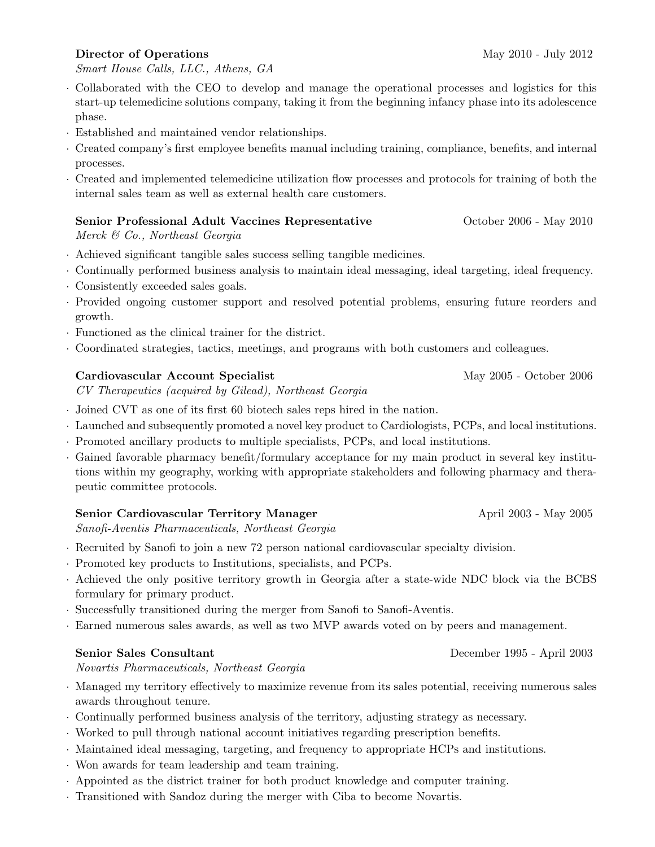# Director of Operations May 2010 - July 2012

Smart House Calls, LLC., Athens, GA

- · Collaborated with the CEO to develop and manage the operational processes and logistics for this start-up telemedicine solutions company, taking it from the beginning infancy phase into its adolescence phase.
- · Established and maintained vendor relationships.
- · Created company's first employee benefits manual including training, compliance, benefits, and internal processes.
- · Created and implemented telemedicine utilization flow processes and protocols for training of both the internal sales team as well as external health care customers.

# Senior Professional Adult Vaccines Representative October 2006 - May 2010

Merck & Co., Northeast Georgia

- · Achieved significant tangible sales success selling tangible medicines.
- · Continually performed business analysis to maintain ideal messaging, ideal targeting, ideal frequency.
- · Consistently exceeded sales goals.
- · Provided ongoing customer support and resolved potential problems, ensuring future reorders and growth.
- · Functioned as the clinical trainer for the district.
- · Coordinated strategies, tactics, meetings, and programs with both customers and colleagues.

# Cardiovascular Account Specialist May 2005 - October 2006

CV Therapeutics (acquired by Gilead), Northeast Georgia

- · Joined CVT as one of its first 60 biotech sales reps hired in the nation.
- · Launched and subsequently promoted a novel key product to Cardiologists, PCPs, and local institutions.
- · Promoted ancillary products to multiple specialists, PCPs, and local institutions.
- · Gained favorable pharmacy benefit/formulary acceptance for my main product in several key institutions within my geography, working with appropriate stakeholders and following pharmacy and therapeutic committee protocols.

# Senior Cardiovascular Territory Manager April 2003 - May 2005

Sanofi-Aventis Pharmaceuticals, Northeast Georgia

- · Recruited by Sanofi to join a new 72 person national cardiovascular specialty division.
- · Promoted key products to Institutions, specialists, and PCPs.
- · Achieved the only positive territory growth in Georgia after a state-wide NDC block via the BCBS formulary for primary product.
- · Successfully transitioned during the merger from Sanofi to Sanofi-Aventis.
- · Earned numerous sales awards, as well as two MVP awards voted on by peers and management.

# Senior Sales Consultant December 1995 - April 2003

Novartis Pharmaceuticals, Northeast Georgia

- · Managed my territory effectively to maximize revenue from its sales potential, receiving numerous sales awards throughout tenure.
- · Continually performed business analysis of the territory, adjusting strategy as necessary.
- · Worked to pull through national account initiatives regarding prescription benefits.
- · Maintained ideal messaging, targeting, and frequency to appropriate HCPs and institutions.
- · Won awards for team leadership and team training.
- · Appointed as the district trainer for both product knowledge and computer training.
- · Transitioned with Sandoz during the merger with Ciba to become Novartis.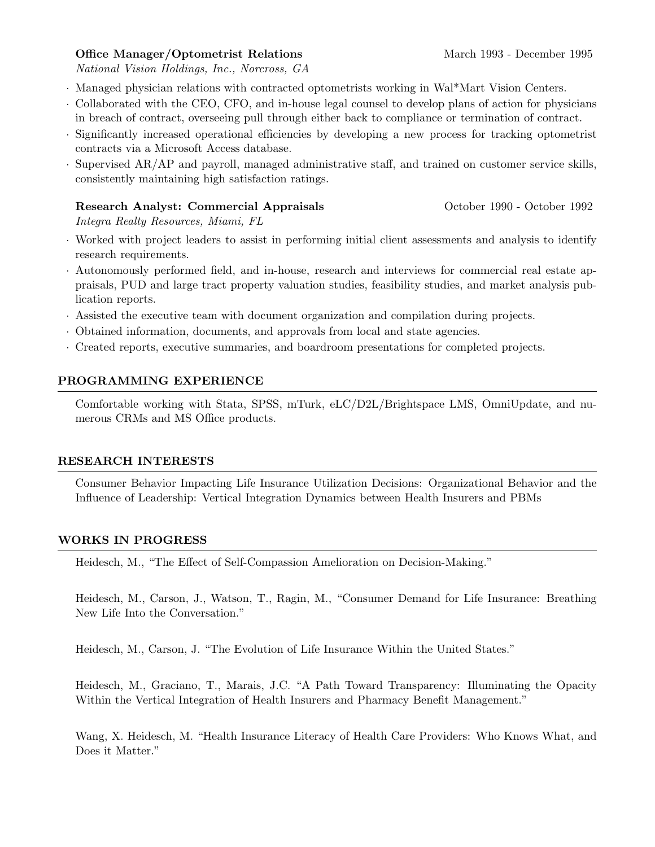# Office Manager/Optometrist Relations March 1993 - December 1995

National Vision Holdings, Inc., Norcross, GA

- · Managed physician relations with contracted optometrists working in Wal\*Mart Vision Centers.
- · Collaborated with the CEO, CFO, and in-house legal counsel to develop plans of action for physicians in breach of contract, overseeing pull through either back to compliance or termination of contract.
- · Significantly increased operational efficiencies by developing a new process for tracking optometrist contracts via a Microsoft Access database.
- · Supervised AR/AP and payroll, managed administrative staff, and trained on customer service skills, consistently maintaining high satisfaction ratings.

#### Research Analyst: Commercial Appraisals October 1990 - October 1992

Integra Realty Resources, Miami, FL

- · Worked with project leaders to assist in performing initial client assessments and analysis to identify research requirements.
- · Autonomously performed field, and in-house, research and interviews for commercial real estate appraisals, PUD and large tract property valuation studies, feasibility studies, and market analysis publication reports.
- · Assisted the executive team with document organization and compilation during projects.
- · Obtained information, documents, and approvals from local and state agencies.
- · Created reports, executive summaries, and boardroom presentations for completed projects.

# PROGRAMMING EXPERIENCE

Comfortable working with Stata, SPSS, mTurk, eLC/D2L/Brightspace LMS, OmniUpdate, and numerous CRMs and MS Office products.

# RESEARCH INTERESTS

Consumer Behavior Impacting Life Insurance Utilization Decisions: Organizational Behavior and the Influence of Leadership: Vertical Integration Dynamics between Health Insurers and PBMs

# WORKS IN PROGRESS

Heidesch, M., "The Effect of Self-Compassion Amelioration on Decision-Making."

Heidesch, M., Carson, J., Watson, T., Ragin, M., "Consumer Demand for Life Insurance: Breathing New Life Into the Conversation."

Heidesch, M., Carson, J. "The Evolution of Life Insurance Within the United States."

Heidesch, M., Graciano, T., Marais, J.C. "A Path Toward Transparency: Illuminating the Opacity Within the Vertical Integration of Health Insurers and Pharmacy Benefit Management."

Wang, X. Heidesch, M. "Health Insurance Literacy of Health Care Providers: Who Knows What, and Does it Matter."